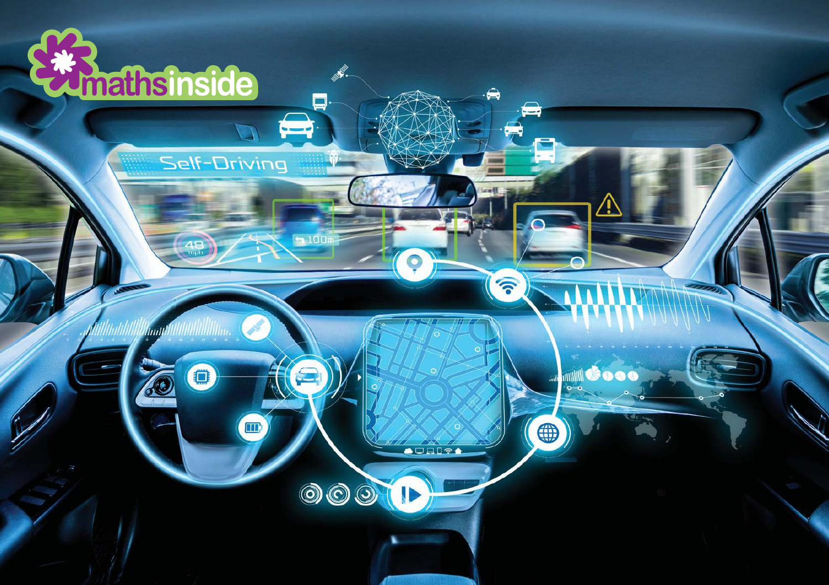

*Huntil* 

de

0

 $\Box$ 

D.

6

 $-100$ 

 $000$ 

 $=$ 

Self-Driving

 $\hat{\mathbf{a}}$ 

 $\mathcal{L}$ 

**ODANSA** 

ID

 $\bigoplus$ 

<u>/I\</u>

**Mill Cooo** 

 $\bullet$ 

4